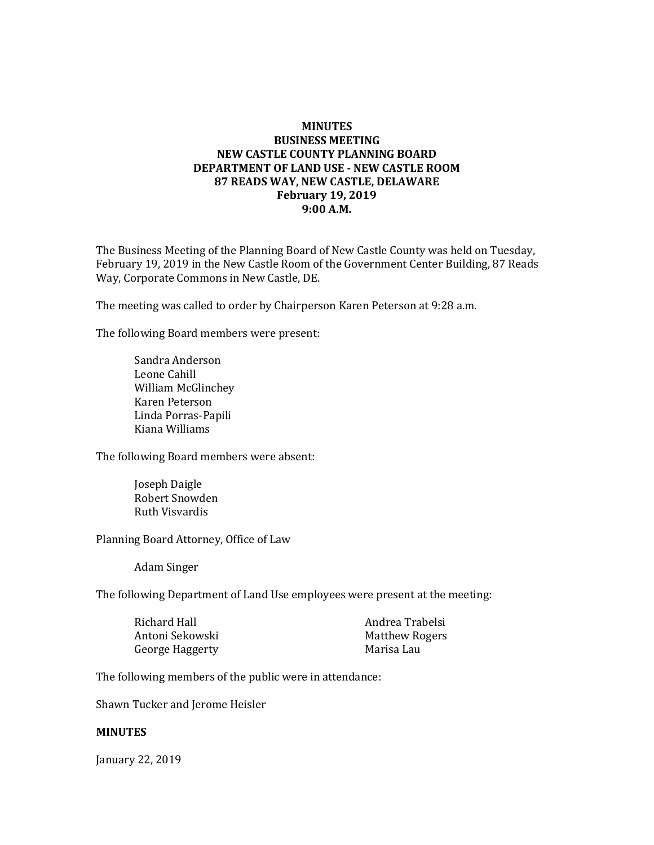## **MINUTES BUSINESS MEETING NEW CASTLE COUNTY PLANNING BOARD DEPARTMENT OF LAND USE - NEW CASTLE ROOM 87 READS WAY, NEW CASTLE, DELAWARE February 19, 2019 9:00 A.M.**

The Business Meeting of the Planning Board of New Castle County was held on Tuesday, February 19, 2019 in the New Castle Room of the Government Center Building, 87 Reads Way, Corporate Commons in New Castle, DE.

The meeting was called to order by Chairperson Karen Peterson at 9:28 a.m.

The following Board members were present:

Sandra Anderson Leone Cahill William McGlinchey Karen Peterson Linda Porras-Papili Kiana Williams

The following Board members were absent:

Joseph Daigle Robert Snowden Ruth Visvardis

Planning Board Attorney, Office of Law

Adam Singer

The following Department of Land Use employees were present at the meeting:

| Andrea Trabelsi       |
|-----------------------|
| <b>Matthew Rogers</b> |
| Marisa Lau            |
|                       |

The following members of the public were in attendance:

Shawn Tucker and Jerome Heisler

#### **MINUTES**

January 22, 2019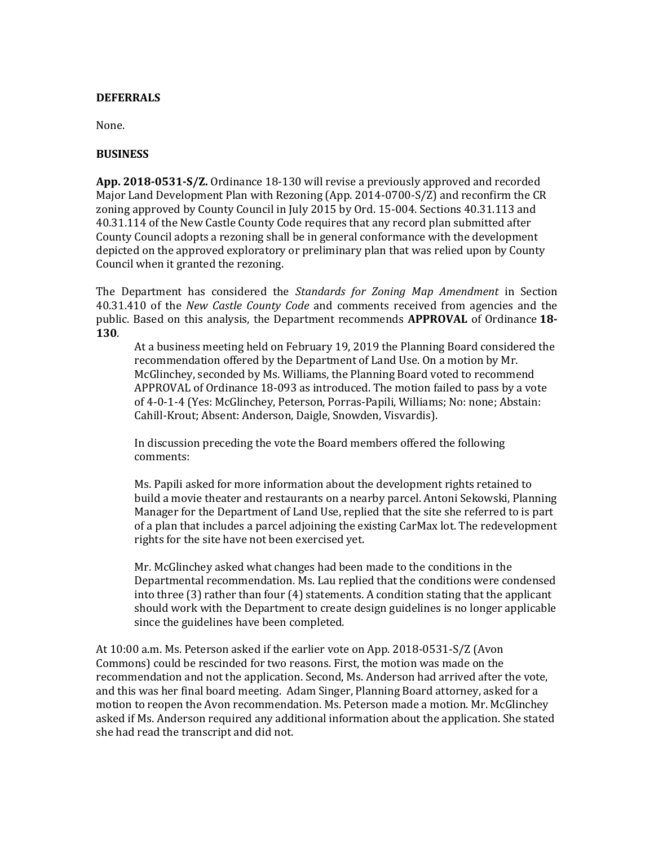### **DEFERRALS**

None.

### **BUSINESS**

**App. 2018-0531-S/Z.** Ordinance 18-130 will revise a previously approved and recorded Major Land Development Plan with Rezoning (App. 2014-0700-S/Z) and reconfirm the CR zoning approved by County Council in July 2015 by Ord. 15-004. Sections 40.31.113 and 40.31.114 of the New Castle County Code requires that any record plan submitted after County Council adopts a rezoning shall be in general conformance with the development depicted on the approved exploratory or preliminary plan that was relied upon by County Council when it granted the rezoning.

The Department has considered the *Standards for Zoning Map Amendment* in Section 40.31.410 of the *New Castle County Code* and comments received from agencies and the public. Based on this analysis, the Department recommends **APPROVAL** of Ordinance **18- 130**.

At a business meeting held on February 19, 2019 the Planning Board considered the recommendation offered by the Department of Land Use. On a motion by Mr. McGlinchey, seconded by Ms. Williams, the Planning Board voted to recommend APPROVAL of Ordinance 18-093 as introduced. The motion failed to pass by a vote of 4-0-1-4 (Yes: McGlinchey, Peterson, Porras-Papili, Williams; No: none; Abstain: Cahill-Krout; Absent: Anderson, Daigle, Snowden, Visvardis).

In discussion preceding the vote the Board members offered the following comments:

Ms. Papili asked for more information about the development rights retained to build a movie theater and restaurants on a nearby parcel. Antoni Sekowski, Planning Manager for the Department of Land Use, replied that the site she referred to is part of a plan that includes a parcel adjoining the existing CarMax lot. The redevelopment rights for the site have not been exercised yet.

Mr. McGlinchey asked what changes had been made to the conditions in the Departmental recommendation. Ms. Lau replied that the conditions were condensed into three (3) rather than four (4) statements. A condition stating that the applicant should work with the Department to create design guidelines is no longer applicable since the guidelines have been completed.

At 10:00 a.m. Ms. Peterson asked if the earlier vote on App. 2018-0531-S/Z (Avon Commons) could be rescinded for two reasons. First, the motion was made on the recommendation and not the application. Second, Ms. Anderson had arrived after the vote, and this was her final board meeting. Adam Singer, Planning Board attorney, asked for a motion to reopen the Avon recommendation. Ms. Peterson made a motion. Mr. McGlinchey asked if Ms. Anderson required any additional information about the application. She stated she had read the transcript and did not.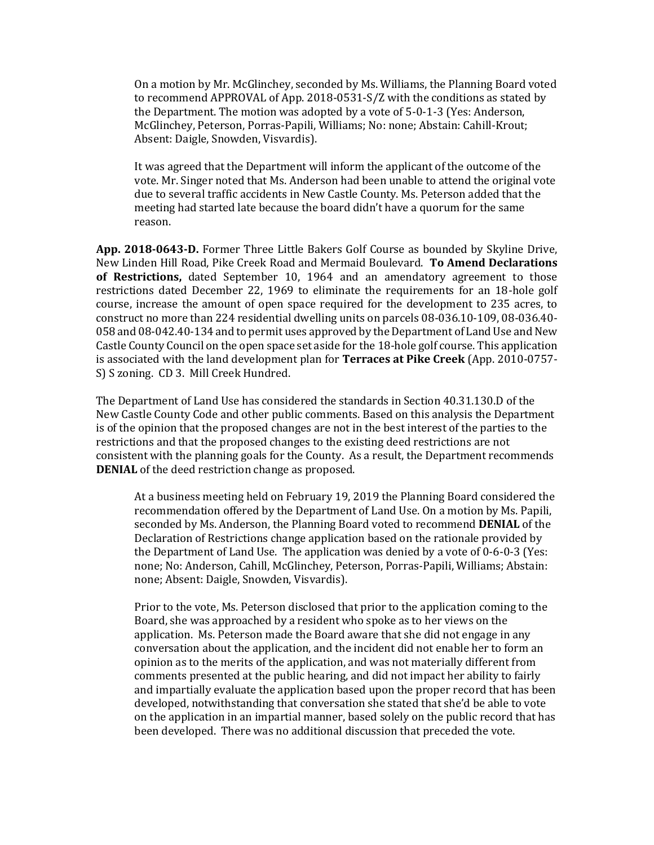On a motion by Mr. McGlinchey, seconded by Ms. Williams, the Planning Board voted to recommend APPROVAL of App. 2018-0531-S/Z with the conditions as stated by the Department. The motion was adopted by a vote of 5-0-1-3 (Yes: Anderson, McGlinchey, Peterson, Porras-Papili, Williams; No: none; Abstain: Cahill-Krout; Absent: Daigle, Snowden, Visvardis).

It was agreed that the Department will inform the applicant of the outcome of the vote. Mr. Singer noted that Ms. Anderson had been unable to attend the original vote due to several traffic accidents in New Castle County. Ms. Peterson added that the meeting had started late because the board didn't have a quorum for the same reason.

**App. 2018-0643-D.** Former Three Little Bakers Golf Course as bounded by Skyline Drive, New Linden Hill Road, Pike Creek Road and Mermaid Boulevard. **To Amend Declarations of Restrictions,** dated September 10, 1964 and an amendatory agreement to those restrictions dated December 22, 1969 to eliminate the requirements for an 18-hole golf course, increase the amount of open space required for the development to 235 acres, to construct no more than 224 residential dwelling units on parcels 08-036.10-109, 08-036.40- 058 and 08-042.40-134 and to permit uses approved by the Department of Land Use and New Castle County Council on the open space set aside for the 18-hole golf course. This application is associated with the land development plan for **Terraces at Pike Creek** (App. 2010-0757- S) S zoning. CD 3. Mill Creek Hundred.

The Department of Land Use has considered the standards in Section 40.31.130.D of the New Castle County Code and other public comments. Based on this analysis the Department is of the opinion that the proposed changes are not in the best interest of the parties to the restrictions and that the proposed changes to the existing deed restrictions are not consistent with the planning goals for the County. As a result, the Department recommends **DENIAL** of the deed restriction change as proposed.

At a business meeting held on February 19, 2019 the Planning Board considered the recommendation offered by the Department of Land Use. On a motion by Ms. Papili, seconded by Ms. Anderson, the Planning Board voted to recommend **DENIAL** of the Declaration of Restrictions change application based on the rationale provided by the Department of Land Use. The application was denied by a vote of 0-6-0-3 (Yes: none; No: Anderson, Cahill, McGlinchey, Peterson, Porras-Papili, Williams; Abstain: none; Absent: Daigle, Snowden, Visvardis).

Prior to the vote, Ms. Peterson disclosed that prior to the application coming to the Board, she was approached by a resident who spoke as to her views on the application. Ms. Peterson made the Board aware that she did not engage in any conversation about the application, and the incident did not enable her to form an opinion as to the merits of the application, and was not materially different from comments presented at the public hearing, and did not impact her ability to fairly and impartially evaluate the application based upon the proper record that has been developed, notwithstanding that conversation she stated that she'd be able to vote on the application in an impartial manner, based solely on the public record that has been developed. There was no additional discussion that preceded the vote.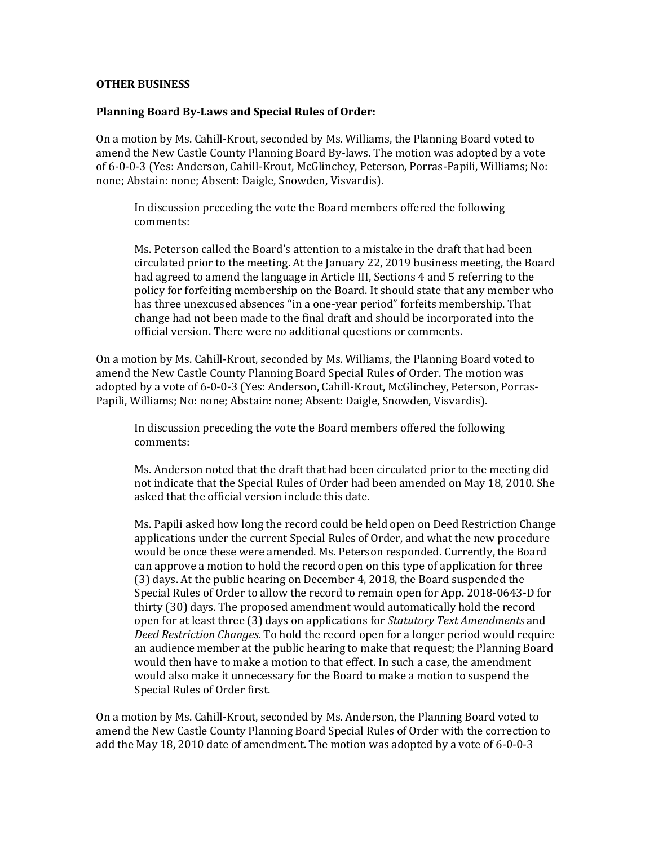### **OTHER BUSINESS**

### **Planning Board By-Laws and Special Rules of Order:**

On a motion by Ms. Cahill-Krout, seconded by Ms. Williams, the Planning Board voted to amend the New Castle County Planning Board By-laws. The motion was adopted by a vote of 6-0-0-3 (Yes: Anderson, Cahill-Krout, McGlinchey, Peterson, Porras-Papili, Williams; No: none; Abstain: none; Absent: Daigle, Snowden, Visvardis).

In discussion preceding the vote the Board members offered the following comments:

Ms. Peterson called the Board's attention to a mistake in the draft that had been circulated prior to the meeting. At the January 22, 2019 business meeting, the Board had agreed to amend the language in Article III, Sections 4 and 5 referring to the policy for forfeiting membership on the Board. It should state that any member who has three unexcused absences "in a one-year period" forfeits membership. That change had not been made to the final draft and should be incorporated into the official version. There were no additional questions or comments.

On a motion by Ms. Cahill-Krout, seconded by Ms. Williams, the Planning Board voted to amend the New Castle County Planning Board Special Rules of Order. The motion was adopted by a vote of 6-0-0-3 (Yes: Anderson, Cahill-Krout, McGlinchey, Peterson, Porras-Papili, Williams; No: none; Abstain: none; Absent: Daigle, Snowden, Visvardis).

In discussion preceding the vote the Board members offered the following comments:

Ms. Anderson noted that the draft that had been circulated prior to the meeting did not indicate that the Special Rules of Order had been amended on May 18, 2010. She asked that the official version include this date.

Ms. Papili asked how long the record could be held open on Deed Restriction Change applications under the current Special Rules of Order, and what the new procedure would be once these were amended. Ms. Peterson responded. Currently, the Board can approve a motion to hold the record open on this type of application for three (3) days. At the public hearing on December 4, 2018, the Board suspended the Special Rules of Order to allow the record to remain open for App. 2018-0643-D for thirty (30) days. The proposed amendment would automatically hold the record open for at least three (3) days on applications for *Statutory Text Amendments* and *Deed Restriction Changes.* To hold the record open for a longer period would require an audience member at the public hearing to make that request; the Planning Board would then have to make a motion to that effect. In such a case, the amendment would also make it unnecessary for the Board to make a motion to suspend the Special Rules of Order first.

On a motion by Ms. Cahill-Krout, seconded by Ms. Anderson, the Planning Board voted to amend the New Castle County Planning Board Special Rules of Order with the correction to add the May 18, 2010 date of amendment. The motion was adopted by a vote of 6-0-0-3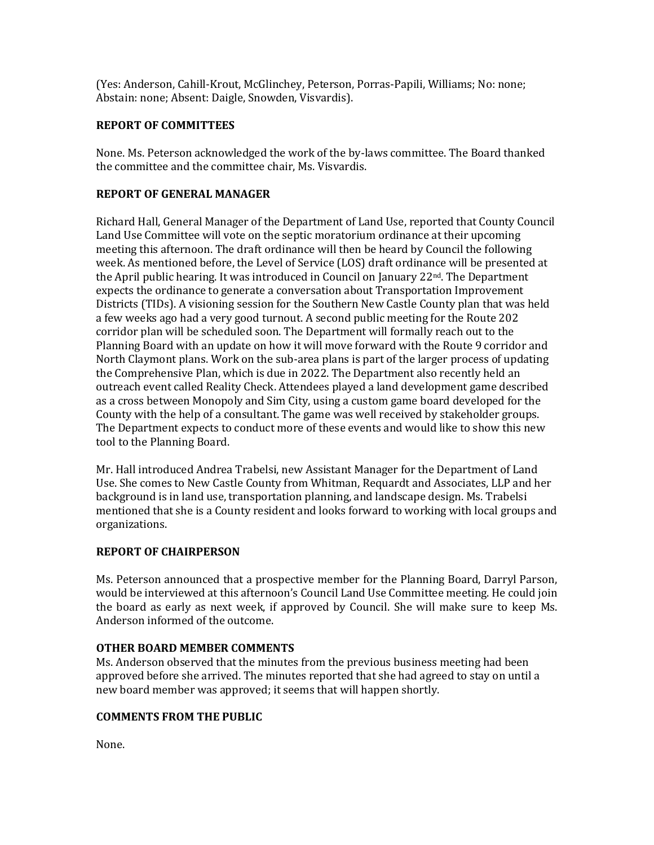(Yes: Anderson, Cahill-Krout, McGlinchey, Peterson, Porras-Papili, Williams; No: none; Abstain: none; Absent: Daigle, Snowden, Visvardis).

## **REPORT OF COMMITTEES**

None. Ms. Peterson acknowledged the work of the by-laws committee. The Board thanked the committee and the committee chair, Ms. Visvardis.

# **REPORT OF GENERAL MANAGER**

Richard Hall, General Manager of the Department of Land Use, reported that County Council Land Use Committee will vote on the septic moratorium ordinance at their upcoming meeting this afternoon. The draft ordinance will then be heard by Council the following week. As mentioned before, the Level of Service (LOS) draft ordinance will be presented at the April public hearing. It was introduced in Council on January 22nd. The Department expects the ordinance to generate a conversation about Transportation Improvement Districts (TIDs). A visioning session for the Southern New Castle County plan that was held a few weeks ago had a very good turnout. A second public meeting for the Route 202 corridor plan will be scheduled soon. The Department will formally reach out to the Planning Board with an update on how it will move forward with the Route 9 corridor and North Claymont plans. Work on the sub-area plans is part of the larger process of updating the Comprehensive Plan, which is due in 2022. The Department also recently held an outreach event called Reality Check. Attendees played a land development game described as a cross between Monopoly and Sim City, using a custom game board developed for the County with the help of a consultant. The game was well received by stakeholder groups. The Department expects to conduct more of these events and would like to show this new tool to the Planning Board.

Mr. Hall introduced Andrea Trabelsi, new Assistant Manager for the Department of Land Use. She comes to New Castle County from Whitman, Requardt and Associates, LLP and her background is in land use, transportation planning, and landscape design. Ms. Trabelsi mentioned that she is a County resident and looks forward to working with local groups and organizations.

# **REPORT OF CHAIRPERSON**

Ms. Peterson announced that a prospective member for the Planning Board, Darryl Parson, would be interviewed at this afternoon's Council Land Use Committee meeting. He could join the board as early as next week, if approved by Council. She will make sure to keep Ms. Anderson informed of the outcome.

# **OTHER BOARD MEMBER COMMENTS**

Ms. Anderson observed that the minutes from the previous business meeting had been approved before she arrived. The minutes reported that she had agreed to stay on until a new board member was approved; it seems that will happen shortly.

# **COMMENTS FROM THE PUBLIC**

None.